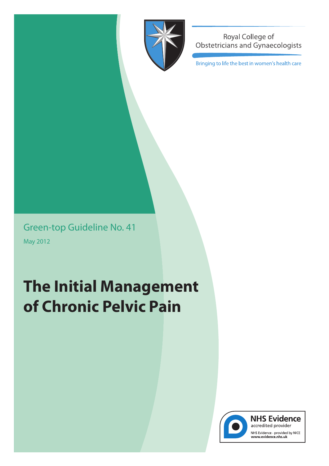

Royal College of **Obstetricians and Gynaecologists** 

Bringing to life the best in women's health care

Green-top Guideline No. 41 May 2012

# **The Initial Management of Chronic Pelvic Pain**



**NHS Evidence** accredited provider NHS Evidence - provided by NICE<br>www.evidence.nhs.uk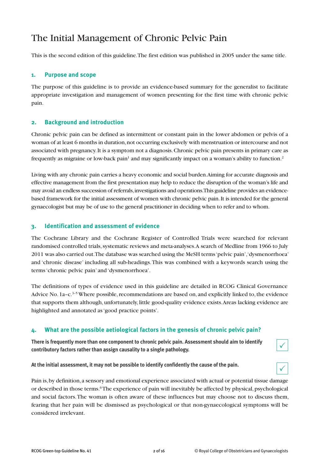# The Initial Management of Chronic Pelvic Pain

This is the second edition of this guideline.The first edition was published in 2005 under the same title.

### **1. Purpose and scope**

The purpose of this guideline is to provide an evidence-based summary for the generalist to facilitate appropriate investigation and management of women presenting for the first time with chronic pelvic pain.

#### **2. Background and introduction**

Chronic pelvic pain can be defined as intermittent or constant pain in the lower abdomen or pelvis of a woman of at least 6 months in duration,not occurring exclusively with menstruation or intercourse and not associated with pregnancy.It is a symptom not a diagnosis.Chronic pelvic pain presents in primary care as frequently as migraine or low-back pain $^{\rm l}$  and may significantly impact on a woman's ability to function. $^{\rm l}$ 

Living with any chronic pain carries a heavy economic and social burden.Aiming for accurate diagnosis and effective management from the first presentation may help to reduce the disruption of the woman's life and may avoid an endlesssuccession of referrals,investigations and operations.This guideline provides an evidencebased framework for the initial assessment of women with chronic pelvic pain.It is intended for the general gynaecologist but may be of use to the general practitioner in deciding when to refer and to whom.

#### **3. Identification and assessment of evidence**

The Cochrane Library and the Cochrane Register of Controlled Trials were searched for relevant randomised controlled trials, systematic reviews and meta-analyses.A search of Medline from 1966 to July 2011 was also carried out.The database was searched using the MeSH terms'pelvic pain','dysmenorrhoea' and 'chronic disease' including all sub-headings.This was combined with a keywords search using the terms'chronic pelvic pain' and 'dysmenorrhoea'.

The definitions of types of evidence used in this guideline are detailed in RCOG Clinical Governance Advice No. 1a-c.<sup>3-5</sup> Where possible, recommendations are based on, and explicitly linked to, the evidence that supports them although, unfortunately, little good-quality evidence exists.Areas lacking evidence are highlighted and annotated as'good practice points'.

#### **4. What are the possible aetiological factors in the genesis of chronic pelvic pain?**

**There is frequently more than one component to chronic pelvic pain. Assessment should aim to identify contributory factors rather than assign causality to a single pathology.**

**At the initial assessment, it may not be possible to identify confidently the cause of the pain.**



 $\checkmark$ 

 $\checkmark$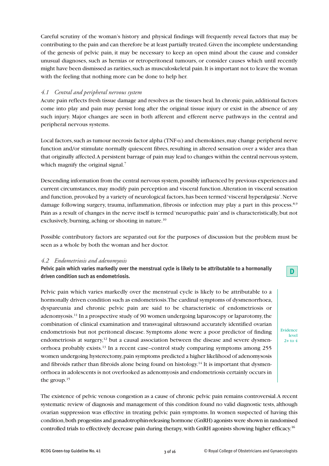Careful scrutiny of the woman's history and physical findings will frequently reveal factors that may be contributing to the pain and can therefore be at least partially treated.Given the incomplete understanding of the genesis of pelvic pain, it may be necessary to keep an open mind about the cause and consider unusual diagnoses, such as hernias or retroperitoneal tumours, or consider causes which until recently might have been dismissed as rarities, such as musculoskeletal pain. It is important not to leave the woman with the feeling that nothing more can be done to help her.

#### *4.1 Central and peripheral nervous system*

Acute pain reflects fresh tissue damage and resolves as the tissues heal.In chronic pain, additional factors come into play and pain may persist long after the original tissue injury or exist in the absence of any such injury. Major changes are seen in both afferent and efferent nerve pathways in the central and peripheral nervous systems.

Local factors, such as tumour necrosis factor alpha (TNF- $\alpha$ ) and chemokines, may change peripheral nerve function and/or stimulate normally quiescent fibres, resulting in altered sensation over a wider area than that originally affected.A persistent barrage of pain may lead to changes within the central nervous system, which magnify the original signal.<sup>7</sup>

Descending information from the central nervous system, possibly influenced by previous experiences and current circumstances, may modify pain perception and visceral function.Alteration in visceral sensation and function, provoked by a variety of neurological factors, has been termed 'visceral hyperalgesia'. Nerve damage following surgery, trauma, inflammation, fibrosis or infection may play a part in this process.<sup>8,9</sup> Pain as a result of changes in the nerve itself is termed 'neuropathic pain' and is characteristically,but not exclusively, burning, aching or shooting in nature.<sup>10</sup>

Possible contributory factors are separated out for the purposes of discussion but the problem must be seen as a whole by both the woman and her doctor.

#### *4.2 Endometriosis and adenomyosis*

**Pelvic pain which varies markedly over the menstrual cycle is likely to be attributable to a hormonally driven condition such as endometriosis.**

Pelvic pain which varies markedly over the menstrual cycle is likely to be attributable to a hormonally driven condition such as endometriosis.The cardinal symptoms of dysmenorrhoea, dyspareunia and chronic pelvic pain are said to be characteristic of endometriosis or adenomyosis. <sup>11</sup> In a prospective study of 90 women undergoing laparoscopy or laparotomy,the combination of clinical examination and transvaginal ultrasound accurately identified ovarian endometriosis but not peritoneal disease. Symptoms alone were a poor predictor of finding endometriosis at surgery,<sup>12</sup> but a causal association between the disease and severe dysmenorrhoea probably exists. <sup>13</sup> In a recent case–control study comparing symptoms among 255 women undergoing hysterectomy,pain symptoms predicted a higher likelihood of adenomysosis and fibroids rather than fibroids alone being found on histology.<sup>14</sup> It is important that dysmenorrhoea in adolescents is not overlooked as adenomyosis and endometriosis certainly occurs in the group. 15

The existence of pelvic venous congestion as a cause of chronic pelvic pain remains controversial.A recent systematic review of diagnosis and management of this condition found no valid diagnostic tests, although ovarian suppression was effective in treating pelvic pain symptoms. In women suspected of having this condition,both progestins and gonadotrophin-releasing hormone (GnRH) agonists were shown in randomised controlled trials to effectively decrease pain during therapy, with GnRH agonists showing higher efficacy.<sup>16</sup>

Evidence level  $2+$  to  $4$ 

**D**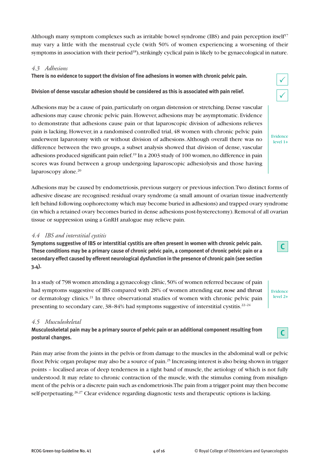Although many symptom complexes such as irritable bowel syndrome (IBS) and pain perception itself<sup>17</sup> may vary a little with the menstrual cycle (with 50% of women experiencing a worsening of their symptoms in association with their period<sup>18</sup>), strikingly cyclical pain is likely to be gynaecological in nature.

#### *4.3 Adhesions*

**There is no evidence to support the division of fine adhesions in women with chronic pelvic pain.**

#### **Division of dense vascular adhesion should be considered as this is associated with pain relief.**

Adhesions may be a cause of pain, particularly on organ distension or stretching. Dense vascular adhesions may cause chronic pelvic pain.However, adhesions may be asymptomatic. Evidence to demonstrate that adhesions cause pain or that laparoscopic division of adhesions relieves pain is lacking. However, in a randomised controlled trial, 48 women with chronic pelvic pain underwent laparotomy with or without division of adhesions.Although overall there was no difference between the two groups, a subset analysis showed that division of dense, vascular adhesions produced significant pain relief.<sup>19</sup> In a 2003 study of 100 women, no difference in pain scores was found between a group undergoing laparoscopic adhesiolysis and those having laparoscopy alone. 20

Adhesions may be caused by endometriosis, previous surgery or previous infection. Two distinct forms of adhesive disease are recognised: residual ovary syndrome (a small amount of ovarian tissue inadvertently left behind following oophorectomy which may become buried in adhesions) and trapped ovary syndrome (in which a retained ovary becomes buried in dense adhesions post-hysterectomy).Removal of all ovarian tissue or suppression using a GnRH analogue may relieve pain.

#### *4.4 IBS and interstitial cystitis*

**Symptoms suggestive of IBS or interstitial cystitis are often present in women with chronic pelvic pain.** These conditions may be a primary cause of chronic pelvic pain, a component of chronic pelvic pain or a **secondary effect caused by efferent neurological dysfunction in the presence of chronic pain (see section 3.4).**

In a study of 798 women attending a gynaecology clinic,50% of women referred because of pain had symptoms suggestive of IBS compared with 28% of women attending ear, nose and throat or dermatology clinics.<sup>21</sup> In three observational studies of women with chronic pelvic pain presenting to secondary care, 38-84% had symptoms suggestive of interstitial cystitis.<sup>22-24</sup>

#### *4.5 Musculoskeletal*

**Musculoskeletal pain may be a primary source of pelvic pain or an additional component resulting from postural changes.**

Pain may arise from the joints in the pelvis or from damage to the muscles in the abdominal wall or pelvic floor. Pelvic organ prolapse may also be a source of pain.<sup>25</sup> Increasing interest is also being shown in trigger points – localised areas of deep tenderness in a tight band of muscle, the aetiology of which is not fully understood. It may relate to chronic contraction of the muscle, with the stimulus coming from misalignment of the pelvis or a discrete pain such as endometriosis.The pain from a trigger point may then become self-perpetuating.<sup>26,27</sup> Clear evidence regarding diagnostic tests and therapeutic options is lacking.

Evidence level 1+



**C**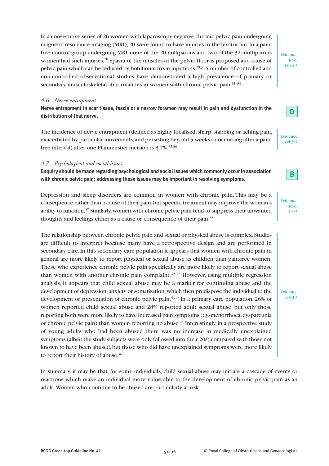In a consecutive series of 26 women with laparoscopy-negative chronic pelvic pain undergoing magnetic resonance imaging (MRI),20 were found to have injuries to the levator ani.In a painfree control group undergoing MRI, none of the 20 nulliparous and two of the 32 multiparous women had such injuries.<sup>28</sup> Spasm of the muscles of the pelvic floor is proposed as a cause of pelvic pain which can be reduced by botulinum toxin injections.<sup>29,30</sup>A number of controlled and non-controlled observational studies have demonstrated a high prevalence of primary or secondary musculoskeletal abnormalities in women with chronic pelvic pain.<sup>31-34</sup>

#### *4.6 Nerve entrapment*

Nerve entrapment in scar tissue, fascia or a narrow foramen may result in pain and dysfunction in the **distribution of that nerve.**

The incidence of nerve entrapment (defined as highly localised, sharp, stabbing or aching pain, exacerbated by particular movements,and persisting beyond 5 weeks or occurring after a painfree interval) after one Pfannenstiel incision is 3.7%. 35,36

#### *4.7 Psychological and social issues*

**Enquiry should be made regarding psychological and social issues which commonly occurin association with chronic pelvic pain; addressing these issues may be important in resolving symptoms.**

Depression and sleep disorders are common in women with chronic pain. This may be a consequence rather than a cause of their pain,but specific treatment may improve the woman's ability to function. <sup>37</sup> Similarly,women with chronic pelvic pain tend to suppress their unwanted thoughts and feelings either as a cause or consequence of their pain.<sup>38</sup>

The relationship between chronic pelvic pain and sexual or physical abuse is complex. Studies are difficult to interpret because many have a retrospective design and are performed in secondary care.In this secondary care population it appears that women with chronic pain in general are more likely to report physical or sexual abuse as children than pain-free women. Those who experience chronic pelvic pain specifically are more likely to report sexual abuse than women with another chronic pain complaint. $39-42$  However, using multiple regression analysis, it appears that child sexual abuse may be a marker for continuing abuse and the development of depression,anxiety or somatisation,which then predispose the individual to the development or presentation of chronic pelvic pain. 43,44 In a primary care population, 26% of women reported child sexual abuse and 28% reported adult sexual abuse, but only those reporting both were more likely to have increased pain symptoms (dysmenorrhoea, dyspareunia or chronic pelvic pain) than women reporting no abuse. <sup>45</sup> Interestingly, in a prospective study of young adults who had been abused there was no increase in medically unexplained symptoms (albeit the study subjects were only followed into their 20s) compared with those not known to have been abused, but those who did have unexplained symptoms were more likely to report their history of abuse. 46

In summary, it may be that, for some individuals, child sexual abuse may initiate a cascade of events or reactions which make an individual more vulnerable to the development of chronic pelvic pain as an adult. Women who continue to be abused are particularly at risk.

Evidence level  $1+$  to  $3$ 

**D**

Evidence level 3/4



Evidence level  $1 + / 3$ 

Evidence level 3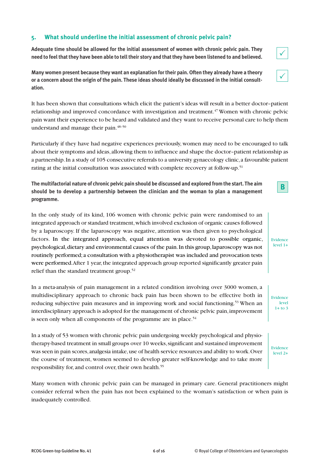#### **5. What should underline the initial assessment of chronic pelvic pain?**

**Adequate time should be allowed for the initial assessment of women with chronic pelvic pain. They** need to feel that they have been able to tell their story and that they have been listened to and believed.

**Many women present because they want an explanation for their pain. Often they already have a theory** or a concern about the origin of the pain. These ideas should ideally be discussed in the initial consult**ation.**

It has been shown that consultations which elicit the patient's ideas will result in a better doctor–patient relationship and improved concordance with investigation and treatment. <sup>47</sup> Women with chronic pelvic pain want their experience to be heard and validated and they want to receive personal care to help them understand and manage their pain. 48–50

Particularly if they have had negative experiences previously, women may need to be encouraged to talk about their symptoms and ideas, allowing them to influence and shape the doctor–patient relationship as a partnership.In a study of 105 consecutive referrals to a university gynaecology clinic,a favourable patient rating at the initial consultation was associated with complete recovery at follow-up. 51

**The multifactorial nature of chronic pelvic pain should be discussed and explored from the start. The aim should be to develop a partnership between the clinician and the woman to plan a management programme.**

In the only study of its kind, 106 women with chronic pelvic pain were randomised to an integrated approach or standard treatment,which involved exclusion of organic causes followed by a laparoscopy. If the laparoscopy was negative, attention was then given to psychological factors. In the integrated approach, equal attention was devoted to possible organic, psychological,dietary and environmental causes of the pain.In this group,laparoscopy was not routinely performed; a consultation with a physiotherapist was included and provocation tests were performed. After 1 year, the integrated approach group reported significantly greater pain relief than the standard treatment group.<sup>52</sup>

In a meta-analysis of pain management in a related condition involving over 3000 women, a multidisciplinary approach to chronic back pain has been shown to be effective both in reducing subjective pain measures and in improving work and social functioning. <sup>53</sup> When an interdisciplinary approach is adopted for the management of chronic pelvic pain,improvement is seen only when all components of the programme are in place.<sup>54</sup>

In a study of 53 women with chronic pelvic pain undergoing weekly psychological and physiotherapy-based treatment in small groups over 10 weeks, significant and sustained improvement was seen in pain scores, analgesia intake, use of health service resources and ability to work. Over the course of treatment, women seemed to develop greater self-knowledge and to take more responsibility for, and control over, their own health.<sup>55</sup>

Many women with chronic pelvic pain can be managed in primary care. General practitioners might consider referral when the pain has not been explained to the woman's satisfaction or when pain is inadequately controlled.



 $\checkmark$ 

Evidence level 2+

**B**



Evidence level  $1+$  to 3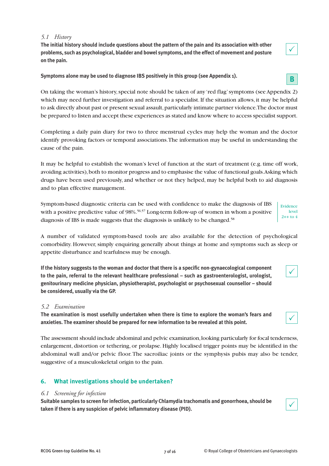#### *5.1 History*

**The initial history should include questions about the pattern of the pain and its association with other problems, such as psychological, bladder and bowel symptoms, and the effect of movement and posture on the pain.**

**Symptoms alone may be used to diagnose IBS positively in this group (see Appendix 1).**

On taking the woman's history,special note should be taken of any 'red flag'symptoms (see Appendix 2) which may need further investigation and referral to a specialist.If the situation allows, it may be helpful to ask directly about past or present sexual assault, particularly intimate partner violence. The doctor must be prepared to listen and accept these experiences as stated and know where to access specialist support.

Completing a daily pain diary for two to three menstrual cycles may help the woman and the doctor identify provoking factors or temporal associations.The information may be useful in understanding the cause of the pain.

It may be helpful to establish the woman's level of function at the start of treatment (e.g. time off work, avoiding activities),both to monitor progress and to emphasise the value of functional goals.Asking which drugs have been used previously, and whether or not they helped, may be helpful both to aid diagnosis and to plan effective management.

Symptom-based diagnostic criteria can be used with confidence to make the diagnosis of IBS with a positive predictive value of 98%. 56,57 Long-term follow-up of women in whom a positive diagnosis of IBS is made suggests that the diagnosis is unlikely to be changed. 58

A number of validated symptom-based tools are also available for the detection of psychological comorbidity. However, simply enquiring generally about things at home and symptoms such as sleep or appetite disturbance and tearfulness may be enough.

**If the history suggests to the woman and doctor that there is a specific non-gynaecological component to the pain, referral to the relevant healthcare professional – such as gastroenterologist, urologist, genitourinary medicine physician, physiotherapist, psychologist or psychosexual counsellor – should be considered, usually via the GP.**

#### *5.2 Examination*

**The examination is most usefully undertaken when there is time to explore the woman's fears and anxieties. The examiner should be prepared for new information to be revealed at this point.**

The assessment should include abdominal and pelvic examination,looking particularly for focal tenderness, enlargement, distortion or tethering, or prolapse. Highly localised trigger points may be identified in the abdominal wall and/or pelvic floor.The sacroiliac joints or the symphysis pubis may also be tender, suggestive of a musculoskeletal origin to the pain.

## **6. What investigations should be undertaken?**

#### *6.1 Screening for infection*

**Suitable samples to screen forinfection, particularly Chlamydia trachomatis and gonorrhoea, should be taken if there is any suspicion of pelvic inflammatory disease (PID).**

 $\checkmark$ 



 $\checkmark$ 

 $\checkmark$ 

| Evidence   |  |
|------------|--|
| level      |  |
| $2++$ to 4 |  |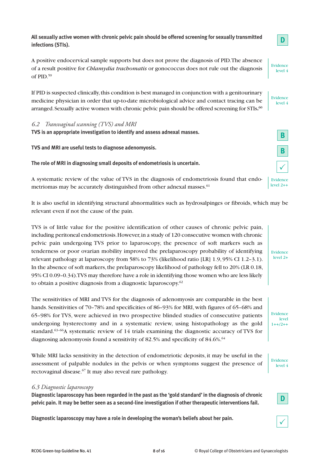**All sexually active women with chronic pelvic pain should be offered screening for sexually transmitted infections (STIs).**

A positive endocervical sample supports but does not prove the diagnosis of PID.The absence of a result positive for *Chlamydia trachomatis* or gonococcus does not rule out the diagnosis of PID. 59

If PID is suspected clinically,this condition is best managed in conjunction with a genitourinary medicine physician in order that up-to-date microbiological advice and contact tracing can be arranged.Sexually active women with chronic pelvic pain should be offered screening for STIs**.** 60

*6.2 Transvaginal scanning (TVS) and MRI*

**TVS is an appropriate investigation to identify and assess adnexal masses.**

**TVS and MRI are useful tests to diagnose adenomyosis.**

**The role of MRI in diagnosing small deposits of endometriosis is uncertain.**

A systematic review of the value of TVS in the diagnosis of endometriosis found that endometriomas may be accurately distinguished from other adnexal masses. 61

It is also useful in identifying structural abnormalities such as hydrosalpinges or fibroids, which may be relevant even if not the cause of the pain.

TVS is of little value for the positive identification of other causes of chronic pelvic pain, including peritoneal endometriosis.However,in a study of 120 consecutive women with chronic pelvic pain undergoing TVS prior to laparoscopy, the presence of soft markers such as tenderness or poor ovarian mobility improved the prelaparoscopy probability of identifying relevant pathology at laparoscopy from 58% to 73% (likelihood ratio [LR] 1.9, 95% CI 1.2–3.1). In the absence of soft markers,the prelaparoscopy likelihood of pathology fell to 20% (LR 0.18, 95% CI 0.09–0.34).TVS may therefore have a role in identifying those women who are less likely to obtain a positive diagnosis from a diagnostic laparoscopy.<sup>62</sup>

The sensitivities of MRI and TVS for the diagnosis of adenomyosis are comparable in the best hands. Sensitivities of 70–78% and specificities of 86–93% for MRI, with figures of 65–68% and 65–98% for TVS, were achieved in two prospective blinded studies of consecutive patients undergoing hysterectomy and in a systematic review, using histopathology as the gold standard.<sup>63-66</sup>A systematic review of 14 trials examining the diagnostic accuracy of TVS for diagnosing adenomyosis found a sensitivity of 82.5% and specificity of 84.6%. 64

While MRI lacks sensitivity in the detection of endometriotic deposits, it may be useful in the assessment of palpable nodules in the pelvis or when symptoms suggest the presence of rectovaginal disease. <sup>67</sup> It may also reveal rare pathology.

#### *6.3 Diagnostic laparoscopy*

**Diagnostic laparoscopy has been regarded in the past as the 'gold standard' in the diagnosis of chronic pelvic pain. It may be better seen as a second-line investigation if other therapeutic interventions fail.**

**Diagnostic laparoscopy may have a role in developing the woman's beliefs about her pain.**

**D**

**D**

Evidence level 4

Evidence level 4

**B**

**B**

 $\checkmark$ 

Evidence level  $2++$ 

Evidence level 2+

Evidence level  $1++/2++$ 

Evidence level 4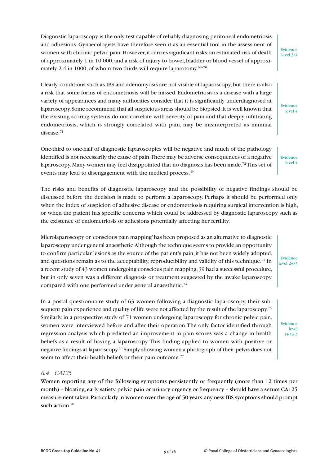Diagnostic laparoscopy is the only test capable of reliably diagnosing peritoneal endometriosis and adhesions. Gynaecologists have therefore seen it as an essential tool in the assessment of women with chronic pelvic pain. However, it carries significant risks: an estimated risk of death of approximately 1 in 10 000, and a risk of injury to bowel,bladder or blood vessel of approximately 2.4 in 1000, of whom two-thirds will require laparotomy. $^{68-70}$ 

Clearly, conditions such as IBS and adenomyosis are not visible at laparoscopy,but there is also a risk that some forms of endometriosis will be missed. Endometriosis is a disease with a large variety of appearances and many authorities consider that it is significantly underdiagnosed at laparoscopy.Some recommend that all suspicious areas should be biopsied.It is well known that the existing scoring systems do not correlate with severity of pain and that deeply infiltrating endometriosis, which is strongly correlated with pain, may be misinterpreted as minimal disease. 71

One-third to one-half of diagnostic laparoscopies will be negative and much of the pathology identified is not necessarily the cause of pain.There may be adverse consequences of a negative laparoscopy. Many women may feel disappointed that no diagnosis has been made.<sup>72</sup>This set of events may lead to disengagement with the medical process.<sup>49</sup>

The risks and benefits of diagnostic laparoscopy and the possibility of negative findings should be discussed before the decision is made to perform a laparoscopy. Perhaps it should be performed only when the index of suspicion of adhesive disease or endometriosis requiring surgical intervention is high, or when the patient has specific concerns which could be addressed by diagnostic laparoscopy such as the existence of endometriosis or adhesions potentially affecting her fertility.

Microlaparoscopy or'conscious pain mapping'has been proposed as an alternative to diagnostic laparoscopy under general anaesthetic.Although the technique seems to provide an opportunity to confirm particular lesions as the source of the patient's pain, it has not been widely adopted, and questions remain as to the acceptability, reproducibility and validity of this technique.<sup>73</sup> In a recent study of 43 women undergoing conscious pain mapping,39 had a successful procedure, but in only seven was a different diagnosis or treatment suggested by the awake laparoscopy compared with one performed under general anaesthetic. 74

In a postal questionnaire study of 63 women following a diagnostic laparoscopy, their subsequent pain experience and quality of life were not affected by the result of the laparoscopy. 75 Similarly, in a prospective study of 71 women undergoing laparoscopy for chronic pelvic pain, women were interviewed before and after their operation.The only factor identified through regression analysis which predicted an improvement in pain scores was a change in health beliefs as a result of having a laparoscopy.This finding applied to women with positive or negative findings at laparoscopy. <sup>76</sup> Simply showing women a photograph of their pelvis does not seem to affect their health beliefs or their pain outcome.<sup>77</sup>

#### *6.4 CA125*

Women reporting any of the following symptoms persistently or frequently (more than 12 times per month) – bloating, early satiety, pelvic pain or urinary urgency or frequency – should have a serum CA125 measurement taken.Particularly in women over the age of 50 years,any new IBS symptoms should prompt such action. 78

Evidence level  $2+1/3$ 

> Evidence level  $1+$  to  $3$

Evidence level 3/4

Evidence level 4

Evidence level 4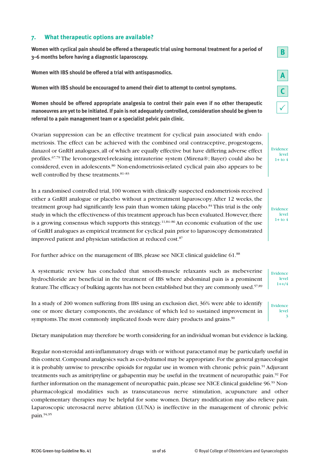#### **7. What therapeutic options are available?**

**Women with cyclical pain should be offered a therapeutic trial using hormonal treatment for a period of 3–6 months before having a diagnostic laparoscopy.**

**Women with IBS should be offered a trial with antispasmodics.**

**Women with IBS should be encouraged to amend their diet to attempt to control symptoms.**

**Women should be offered appropriate analgesia to control their pain even if no other therapeutic** manoeuvres are yet to be initiated. If pain is not adequately controlled, consideration should be given to **referral to a pain management team or a specialist pelvic pain clinic.**

Ovarian suppression can be an effective treatment for cyclical pain associated with endometriosis. The effect can be achieved with the combined oral contraceptive, progestogens, danazol or GnRH analogues, all of which are equally effective but have differing adverse effect profiles. 67,79 The levonorgestrel-releasing intrauterine system (Mirena®; Bayer) could also be considered, even in adolescents.<sup>80</sup> Non-endometriosis-related cyclical pain also appears to be well controlled by these treatments. 81–83

In a randomised controlled trial, 100 women with clinically suspected endometriosis received either a GnRH analogue or placebo without a pretreatment laparoscopy.After 12 weeks, the treatment group had significantly less pain than women taking placebo.<sup>84</sup> This trial is the only study in which the effectiveness of this treatment approach has been evaluated. However, there is a growing consensus which supports this strategy. $^{11,84-86}$  An economic evaluation of the use of GnRH analogues as empirical treatment for cyclical pain prior to laparoscopy demonstrated improved patient and physician satisfaction at reduced cost. 87

For further advice on the management of IBS, please see NICE clinical guideline 61.88

A systematic review has concluded that smooth-muscle relaxants such as mebeverine hydrochloride are beneficial in the treatment of IBS where abdominal pain is a prominent feature.The efficacy of bulking agents has not been established but they are commonly used. 57,89

In a study of 200 women suffering from IBS using an exclusion diet, 36% were able to identify one or more dietary components, the avoidance of which led to sustained improvement in symptoms. The most commonly implicated foods were dairy products and grains.<sup>90</sup> Evidence

Dietary manipulation may therefore be worth considering for an individual woman but evidence is lacking.

Regular non-steroidal anti-inflammatory drugs with or without paracetamol may be particularly useful in this context.Compound analgesics such as co-dydramol may be appropriate.For the general gynaecologist it is probably unwise to prescribe opioids for regular use in women with chronic pelvic pain. <sup>91</sup> Adjuvant treatments such as amitriptyline or gabapentin may be useful in the treatment of neuropathic pain. <sup>92</sup> For further information on the management of neuropathic pain, please see NICE clinical guideline 96.93 Nonpharmacological modalities such as transcutaneous nerve stimulation, acupuncture and other complementary therapies may be helpful for some women. Dietary modification may also relieve pain. Laparoscopic uterosacral nerve ablation (LUNA) is ineffective in the management of chronic pelvic pain. 94,95

**B**

Evidence level  $1++/4$ 

> level 3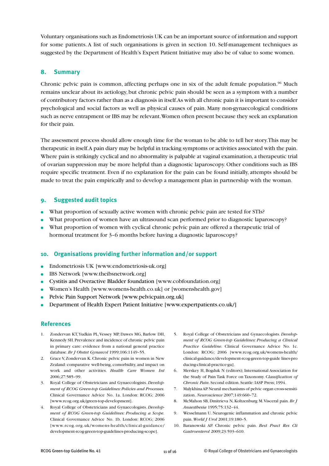Voluntary organisations such as Endometriosis UK can be an important source of information and support for some patients. A list of such organisations is given in section 10. Self-management techniques as suggested by the Department of Health's Expert Patient Initiative may also be of value to some women.

#### **8. Summary**

Chronic pelvic pain is common, affecting perhaps one in six of the adult female population.<sup>96</sup> Much remains unclear about its aetiology, but chronic pelvic pain should be seen as a symptom with a number of contributory factors rather than as a diagnosis in itself.As with all chronic pain it is important to consider psychological and social factors as well as physical causes of pain. Many non-gynaecological conditions such as nerve entrapment or IBS may be relevant.Women often present because they seek an explanation for their pain.

The assessment process should allow enough time for the woman to be able to tell her story.This may be therapeutic in itself.A pain diary may be helpful in tracking symptoms or activities associated with the pain. Where pain is strikingly cyclical and no abnormality is palpable at vaginal examination, a therapeutic trial of ovarian suppression may be more helpful than a diagnostic laparoscopy. Other conditions such as IBS require specific treatment. Even if no explanation for the pain can be found initially, attempts should be made to treat the pain empirically and to develop a management plan in partnership with the woman.

#### **9. Suggested audit topics**

- **●** What proportion of sexually active women with chronic pelvic pain are tested for STIs?
- **●** What proportion of women have an ultrasound scan performed prior to diagnostic laparoscopy?
- **●** What proportion of women with cyclical chronic pelvic pain are offered a therapeutic trial of hormonal treatment for 3-6 months before having a diagnostic laparoscopy?

#### **10. Organisations providing further information and/or support**

- **●** Endometriosis UK [www.endometriosis-uk.org]
- **●** IBS Network [www.theibsnetwork.org]
- **●** Cystitis and Overactive Bladder foundation [www.cobfoundation.org]
- **●** Women's Health [www.womens-health.co.uk] or [womenshealth.gov]
- **●** Pelvic Pain Support Network [www.pelvicpain.org.uk]
- **●** Department of Health Expert Patient Initiative [www.expertpatients.co.uk/]

#### **References**

- 1. Zondervan KT,Yudkin PL,Vessey MP, Dawes MG, Barlow DH, Kennedy SH.Prevalence and incidence of chronic pelvic pain in primary care: evidence from a national general practice database.*Br J Obstet Gynaecol* 1999;106:1149–55.
- 2. Grace V, Zondervan K.Chronic pelvic pain in women in New Zealand: comparative well-being, comorbidity, and impact on work and other activities. *Health Care Women Int* 2006;27:585–99.
- 3. Royal College of Obstetricians and Gynaecologists. *Development of RCOG Green-top Guidelines:Policies and Processes.* Clinical Governance Advice No. 1a. London: RCOG; 2006 [www.rcog.org.uk/green-top-development].
- 4. Royal College of Obstetricians and Gynaecologists. *Development of RCOG Green-top Guidelines: Producing a Scope.* Clinical Governance Advice No. 1b. London: RCOG; 2006 [www.rcog.org.uk/womens-health/clinical-guidance/ development-rcog-green-top-guidelines-producing-scope].
- 5. Royal College of Obstetricians and Gynaecologists. *Development of RCOG Green-top Guidelines: Producing a Clinical Practice Guideline.* Clinical Governance Advice No. 1c. London: RCOG; 2006 [www.rcog.org.uk/womens-health/ clinical-guidance/development-rcog-green-top-guide lines-pro ducing-clinical-practice-gu].
- 6. Merskey H, Bogduk N (editors); International Association for the Study of Pain Task Force on Taxonomy. C*lassification of Chronic Pain*. Second edition. Seattle:IASP Press; 1994.
- 7. MalykhinaAP.Neural mechanisms of pelvic organ cross-sensitization. *Neuroscience* 2007;149:660–72.
- 8. McMahon SB, Dmitrieva N,Koltzenburg M.Visceral pain. *Br J Anaesthesia* 1995;75:132–44.
- 9. Wesselmann U. Neurogenic inflammation and chronic pelvic pain.*World J Urol* 2001;19:180–5.
- 10. Baranowski AP. Chronic pelvic pain. *Best Pract Res Cli Gastroenterol* 2009;23:593–610.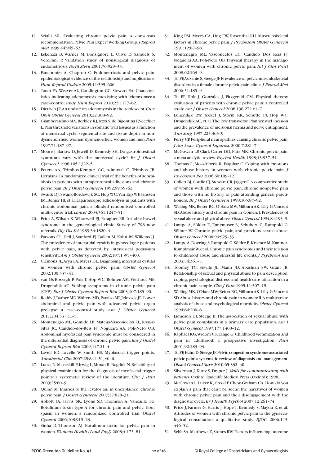- 11. Scialli AR. Evaluating chronic pelvic pain. A consensus recommendation.Pelvic Pain ExpertWorking Group.*J Reprod Med* 1999;44:945–52.
- 12. Eskenazi B, Warner M, Bonsignore L, Olive D, Samuels S, Vercillini P. Validation study of nonsurgical diagnosis of endometriosis. *Fertil Steril* 2001;76:929–35.
- 13. Fauconnier A, Chapron C. Endometriosis and pelvic pain: epidemiological evidence of the relationship and implications. *Hum Reprod Update* 2005;11:595–606.
- 14. Taran FA,Weaver AL, Coddington CC, Stewart EA. Characteristics indicating adenomyosis coexisting with leiomyomas: a case–control study*.Hum Reprod* 2010;25:1177–82.
- 15. Dietrich JE.An update on adenomyosis in the adolescent.*Curr Opin Obstet Gynecol* 2010;22:388–92.
- 16. Giamberardino MA,Berkley KJ,Iezzi S,de Bigontina P,Vecchiet L.Pain threshold variations in somatic wall tissues as a function of menstrual cycle, segmental site and tissue depth in nondysmenorrheic women,dysmenorrheic women and men.*Pain* 1997;71:187–97.
- 17. Moore J, Barlow D, Jewell D, Kennedy SH. Do gastrointestinal symptoms vary with the menstrual cycle? *Br J Obstet Gynaecol* 1998;105:1322–5.
- 18. Peters AA, Trimbos-Kemper GC, Admiraal C, Trimbos JB, Hermans J.A randomized clinical trial of the benefits of adhesiolysis in patients with intraperitoneal adhesions and chronic pelvic pain.*Br J Obstet Gynaecol* 1992;99:59–62.
- 19. Swank DJ, Swank-Bordewijk SC, Hop WC, Van Erp WF, Janssen IM,Bonjer HJ, et al. Laparoscopic adhesiolysis in patients with chronic abdominal pain: a blinded randomised controlled multi-centre trial. *Lancet* 2003;361:1247–51.
- 20. Prior A,Wilson K,Whorwell PJ, Faragher EB. Irritable bowel syndrome in the gynecological clinic. Survey of 798 new referrals.*Dig Dis Sci* 1989;34:1820–4.
- 21. Parsons CL, Dell J, Stanford EJ, Bullen M, Kahn BS,Willems JJ. The prevalence of interstitial cystitis in gynecologic patients with pelvic pain, as detected by intravesical potassium sensitivity.*Am J Obstet Gynecol* 2002;187:1395–400.
- 22. Clemons JL,Arya LA, Myers DL. Diagnosing interstitial cystitis in women with chronic pelvic pain. *Obstet Gynecol* 2002;100:337–41.
- 23. van Os-Bossagh P, Pols T, Hop WC, Bohnen AM,Vierhout ME, Drogendijk AC. Voiding symptoms in chronic pelvic pain (CPP). *Eur J Obstet Gynecol Reprod Biol* 2003;107:185–90.
- 24. Reddy J,Barber MD,Walters MD,Paraiso MF,Jelovsek JE.Lower abdominal and pelvic pain with advanced pelvic organ prolapse: a case–control study. *Am J Obstet Gynecol* 2011;204:537.e1–5.
- 25. Montenegro ML, Gomide LB, Mateus-Vasconcelos EL, Rosa-e-Silva JC, Candido-dos-Reis FJ, Nogueira AA, Poli-Neto OB. Abdominal myofascial pain syndrome must be considered in the differential diagnosis of chronic pelvic pain. *Eur J Obstet Gynecol Reprod Biol* 2009;147:21–4.
- 26. Lavell ED, Lavelle W, Smith HS. Myofascial trigger points. *Anesthesiol Clin* 2007;25:841–51, vii–ii.
- 27. Lucas N, Macaskill P, Irwig L, Moran R, Bogduk N. Reliability of physical examination for the diagnosis of myofascial trigger points: a systematic review of the literature. *Clin J Pain* 2009;25:80–9.
- 28. Quinn M. Injuries to the levator ani in unexplained, chronic pelvic pain.*J Obstet Gynaecol* 2007;27:828–31.
- 29. Abbott JA, Jarvis SK, Lyons SD, Thomson A, Vancaille TG. Botulinum toxin type A for chronic pain and pelvic floor spasm in women: a randomized controlled trial. *Obstet Gynecol* 2006;108:915–23.
- 30. Sinha D, Thomson AJ. Botulinum toxin for pelvic pain in women.*Womens Health (Lond Engl)* 2008;4:173–81.
- 31. King PM, Myers CA, Ling FW, Rosenthal RH. Musculoskeletal factors in chronic pelvic pain.*J Psychosom Obstet Gynaecol* 1991;12:87–98.
- 32. Montenegro ML, Vasconcelos EC, Candido Dos Reis FJ, Nogueira AA, Poli-Neto OB. Physical therapy in the management of women with chronic pelvic pain. *Int J Clin Pract* 2008;62:263–9.
- 33. Tu FF,As-Sanie S,Steege JF.Prevalence of pelvic musculoskeletal disorders in a female chronic pelvic pain clinic.*J Reprod Med* 2006;51:185–9.
- 34. Tu FF, Holt J, Gonzales J, Fitzgerald CM. Physical therapy evaluation of patients with chronic pelvic pain: a controlled study.*Am J Obstet Gynecol* 2008;198:272.e1–7.
- 35. Luijendijk RW, Jeekel J, Storm RK, Schutte PJ, Hop WC, Drogendijk AC, et al.The low transverse Pfannenstiel incision and the prevalence of incisional hernia and nerve entrapment. *Ann Surg* 1997;225:365–9.
- 36. Perry CP.Peripheral neuropathies causing chronic pelvic pain. *J Am Assoc Gynecol Laparosc* 2000;7:281–7.
- 37. McGowan LP, Clark-Carter DD, Pitts MK. Chronic pelvic pain: a meta-analytic review.*Psychol Health* 1998;13:937–51.
- 38. Thomas E, Moss-Morris R, Faquhar C. Coping with emotions and abuse history in women with chronic pelvic pain. *J Psychosom Res* 2006;60:109–12.
- 39. Collett BJ,Cordle CJ,Stewart CR,Jagger C.A comparative study of women with chronic pelvic pain, chronic nonpelvic pain and those with no history of pain attending general practitioners. *Br J Obstet Gynaecol* 1998;105:87–92.
- 40. Walling MK, Reiter RC, O'Hara MW, Milburn AK, Lilly G, Vincent SD.Abuse history and chronic pain in women:I.Prevalences of sexual abuse and physical abuse.*Obstet Gynecol* 1994;84:193–9.
- 41. Lampe A, Sölder E, Ennemoser A, Schubert C, Rumpold G, Söllner W. Chronic pelvic pain and previous sexual abuse. *Obstet Gynecol* 2000;96:929–33.
- 42. Lampe A, Doering S, Rumpold G, Sölder E, Krismer M, Kantner-RumplmairW,et al.Chronic pain syndromes and their relation to childhood abuse and stressful life events. *J Psychsom Res* 2003;54:361–7.
- 43. Toomey TC, Seville JL, Mann JD, Abashian SW, Grant JR. Relationship of sexual and physical abuse to pain description, coping, psychological distress, and health-care utilization in a chronic pain sample.*Clin J Pain* 1995;11:307–15.
- 44. Walling MK,O'Hara MW,Reiter RC,MilburnAK,Lilly G,Vincent SD.Abuse history and chronic pain in women:II.A multivariate analysis of abuse and psychological morbidity.*Obstet Gynecol* 1994;84:200–6.
- 45. Jamieson DJ, Steege JF.The association of sexual abuse with pelvic pain complaints in a primary care population. *Am J Obstet Gynecol* 1997;177:1408–12.
- 46. Raphael KG,Widom CS,Lange G.Childhood victimization and pain in adulthood: a prospective investigation. *Pain* 2001;92:283–93.
- 47. Tu FF,Hahn D,Steege JF.Pelvic congestion syndrome-associated pelvic pain:a systematic review of diagnosis and management. *Obstet Gynecol Surv* 2010;65:332–40.
- 48. Silverman J,Kurtz S, Draper J. *Skills for communicating with patients*.Oxford:Radcliffe Medical Press (Oxford); 1998.
- 49. McGowan L, Luker K,Creed F,Chew-Graham CA.How do you explain a pain that can't be seen?: the narratives of women with chronic pelvic pain and their disengagement with the diagnostic cycle.*Br J Health Psychol* 2007;12:261–74.
- 50. Price J, Farmer G, Harris J, Hope T, Kennedy S, Mayou R, et al. Attitudes of women with chronic pelvic pain to the gynaecological consultation: a qualitative study. *BJOG* 2006;113: 446–52.
- 51. Selfe SA,Matthews Z,Stones RW.Factors influencing outcome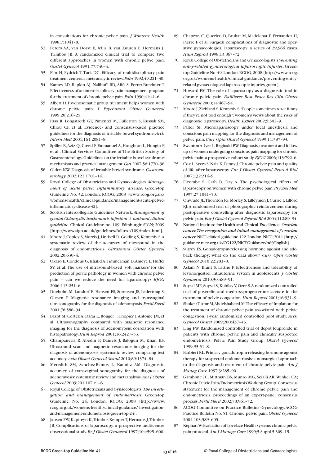in consultations for chronic pelvic pain. *J Womens Health* 1998;7:1041–8.

- 52. Peters AA, van Dorst E, Jellis B, van Zuuren E, Hermans J, Trimbos JB. A randomized clinical trial to compare two different approaches in women with chronic pelvic pain. *Obstet Gynecol* 1991;77:740–4.
- 53. Flor H, Fydrich T,Turk DC. Efficacy of multidisciplinary pain treatment centers:a meta-analytic review.*Pain* 1992;49:221–30.
- 54. Kames LD, Rapkin AJ, Naliboff BD, Afifi S, Ferrer-Brechner T. Effectiveness of an interdisciplinary pain management program for the treatment of chronic pelvic pain.*Pain* 1990;41:41–6.
- 55. Albert H. Psychosomatic group treatment helps women with chronic pelvic pain. *J Psychosom Obstet Gynaecol* 1999;20:216–25.
- 56. Fass R, Longstreth GF, Pimentel M, Fullerton S, Russak SM, Chiou CF, et al. Evidence- and consensus-based practice guidelines for the diagnosis of irritable bowel syndrome.*Arch Intern Med* 2001;161:2081–8.
- 57. Spiller R,Aziz Q, Creed F, Emmanuel A, Houghton L, Hungin P, et al.; Clinical Services Committee of The British Society of Gastroenterology.Guidelines on the irritable bowel syndrome: mechanisms and practical management.*Gut* 2007;56:1770–98
- 58. Olden KW. Diagnosis of irritable bowel syndrome. *Gastroenterology* 2002;122:1701–14.
- 59. Royal College of Obstetricians and Gynaecologists. *Management of acute pelvic inflammatory disease*. Green-top Guideline No. 32. London: RCOG; 2008 [www.rcog.org.uk/ womens-health/clinical-guidance/management-acute-pelvicinflammatory-disease-32].
- 60. Scottish Intercollegiate Guidelines Network. *Management of genital Chlamydia trachomatis infection*.*A national clinical guideline*. Clinical Guideline no. 109. Edinburgh: SIGN; 2009 [http://www.sign.ac.uk/guidelines/fulltext/109/index.html].
- 61. Moore J,Copley S,Morris J, Lindsell D,Golding S,Kennedy S.A systematic review of the accuracy of ultrasound in the diagnosis of endometriosis. *Ultrasound Obstet Gynecol* 2002;20:630–4.
- 62. Okaro E,Condous G,Khalid A,Timmerman D,Ameye L,Huffel SV, et al. The use of ultrasound-based 'soft markers' for the prediction of pelvic pathology in women with chronic pelvic pain – can we reduce the need for laparoscopy? *BJOG* 2006;113:251–6.
- 63. Dueholm M, Lundorf E, Hansen ES, Sorensen JS, Ledertoug S, Olesen F. Magnetic resonance imaging and transvaginal ultrasonography for the diagnosis of adenomyosis.*Fertil Steril* 2001;76:588–94.
- 64. Bazot M, Cortez A, Darai E, Rouger J, Chopier J,Antoine JM, et al. Ultrasonography compared with magnetic resonance imaging for the diagnosis of adenomyosis: correlation with histopathology.*Hum Reprod* 2001;16:2427–33.
- 65. Champaneria R, Abedin P, Daniels J, Balogun M, Khan KS. Ultrasound scan and magnetic resonance imaging for the diagnosis of adenomyosis: systematic review comparing test accuracy.*Acta Obstet Gynecol Scand* 2010;89:1374–84.
- 66. Meredith SM, Sanchez-Ramos L, Kaunitz AM. Diagnostic accuracy of transvaginal sonography for the diagnosis of adenomyosis:systematic review and metaanalysis.*Am J Obstet Gynecol* 2009;201:107.e1–6.
- 67. Royal College of Obstetricians and Gynaecologists.*The investigation and management of endometriosis*. Green-top Guideline No. 24. London: RCOG; 2008 [http://www. rcog.org.uk/womens-health/clinical-guidance/ investigationand-management-endometriosis-green-top-24].
- 68. Jansen FW,Kapiteyn K,Trimbos-KemperT,Hermans J,Trimbos JB. Complications of laparoscopy: a prospective multicentre observational study.*Br J Obstet Gynaecol* 1997;104:595–600.
- 69. Chapron C, Querleu D, Bruhat M, Madelenat P, Fernandez H, Pierre F, et al. Surgical complications of diagnostic and operative gynaecological laparoscopy: a series of 29,966 cases. *Hum Reprod* 1998;13:867–72.
- 70. Royal College of Obstetricians and Gynaecologists.*Preventing entry-related gynaecological laparoscopic injuries*. Greentop Guideline No.49.London:RCOG;2008 [http://www.rcog. org.uk/womens-health/clinical-guidance/preventing-entryrelated-gynaecological-laparoscopic-injuries-green-].
- 71. Howard FM.The role of laparoscopy as a diagnostic tool in chronic pelvic pain. *Baillieres Best Pract Res Clin Obstet Gynaecol* 2000;14:467–94.
- 72. Moore J,Ziebland S,Kennedy S."People sometimes react funny if they're not told enough": women's views about the risks of diagnostic laparoscopy.*Health Expect* 2002;5:302–9.
- 73. Palter SF. Microlaparoscopy under local anesthesia and conscious pain mapping for the diagnosis and management of pelvic pain.*Curr Opin Obstet Gynecol* 1999;11:387–93.
- 74. SwantonA,Iyer L,Reginald PW.Diagnosis,treatment and follow up of women undergoing conscious pain mapping for chronic pelvic pain:a prospective cohort study.*BJOG* 2006;113:792–6.
- 75. Cox L,Ayers S,Nala K,Penny J.Chronic pelvic pain and quality of life after laparoscopy. *Eur J Obstet Gynecol Reprod Biol* 2007;132:214–9.
- 76. Elcombe S, Gath D, Day A. The psychological effects of laparoscopy on women with chronic pelvic pain.*Psychol Med* 1997;27:1041–50.
- 77. Onwude JL,Thornton JG,Morley S,Lilleymen J,Currie I,Lilford RJ.A randomised trial of photographic reinforcement during postoperative counselling after diagnostic laparoscopy for pelvic pain.*Eur J Obstet Gynecol Reprod Biol* 2004;112:89–94.
- 78. National Institute for Health and Clinical Excellence. *Ovarian cancer.The recognition and initial management of ovarian cancer.* NICE clinical guideline 122.London:NICE;2011 [http:// guidance.nice.org.uk/CG122/NICEGuidance/pdf/English].
- 79. Surrey ES. Gonadotropin-releasing hormone agonist and addback therapy: what do the data show? *Curr Opin Obstet Gynecol* 2010;22:283–8.
- 80. Aslam N, Blunt S, Latthe P. Effectiveness and tolerability of levonorgestrel intrauterine system in adolescents. *J Obstet Gynaecol* 2010;30:489–91.
- 81. Soysal ME, Soysal S, Kubilay V, Ozer S.A randomized controlled trial of goserelin and medroxyprogesterone acetate in the treatment of pelvic congestion.*Hum Reprod* 2001;16:931–9.
- 82. ShokeirT,Amr M,Abdelshaheed M.The efficacy of Implanon for the treatment of chronic pelvic pain associated with pelvic congestion: 1-year randomized controlled pilot study. *Arch Gynecol Obstet* 2009;280:437–43.
- 83. Ling FW. Randomized controlled trial of depot leuprolide in patients with chronic pelvic pain and clinically suspected endometriosis. Pelvic Pain Study Group. *Obstet Gynecol* 1999;93:51–8.
- 84. Barbieri RL.Primary gonadotropin-releasing hormone agonist therapy for suspected endometriosis: a nonsurgical approach to the diagnosis and treatment of chronic pelvic pain. *Am J Manag Care* 1997;3:285–90.
- 85. Gambone JC, Mittman BS, Munro MG, Scialli AR,Winkel CA; Chronic Pelvic Pain/EndometriosisWorking Group.Consensus statement for the management of chronic pelvic pain and endometriosis: proceedings of an expert-panel consensus process. *Fertil Steril* 2002;78:961–72.
- 86. ACOG Committee on Practice Bulletins–Gynecology.ACOG Practice Bulletin No. 51. Chronic pelvic pain. *Obstet Gynecol* 2004;103;589–605.
- 87. KephartW.Evaluation of Lovelace Health Systems chronic pelvic pain protocol.*Am J Manage Care* 1999;5 Suppl 5:309–15.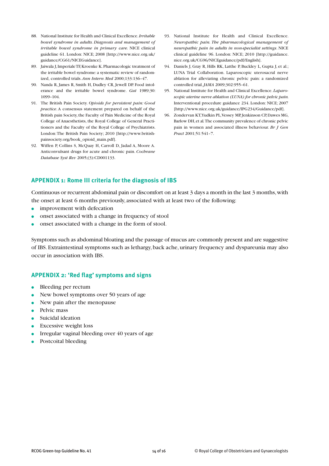- 88. National Institute for Health and Clinical Excellence.*Irritable bowel syndrome in adults. Diagnosis and management of irritable bowel syndrome in primary care.* NICE clinical guideline 61. London: NICE; 2008 [http://www.nice.org.uk/ guidance/CG61/NICEGuidance].
- 89. Jaiwala J,ImperialeTF,Kroenke K.Pharmacologic treatment of the irritable bowel syndrome: a systematic review of randomized, controlled trials.*Ann Intern Med* 2000;133:136–47.
- 90. Nanda R, James R, Smith H, Dudley CR, Jewell DP. Food intolerance and the irritable bowel syndrome. *Gut* 1989;30: 1099–104.
- 91. The British Pain Society. *Opioids for persistent pain: Good practice*. A consensus statement prepared on behalf of the British pain Society,the Faculty of Pain Medicine of the Royal College of Anaesthetists, the Royal College of General Practitioners and the Faculty of the Royal College of Psychiatrists. London:The British Pain Society; 2010 [http://www.britishpainsociety.org/book\_opioid\_main.pdf].
- 92. Wiffen P, Collins S, McQuay H, Carroll D, Jadad A, Moore A. Anticonvulsant drugs for acute and chronic pain. *Cochrane Database Syst Rev* 2005;(3):CD001133.
- 93. National Institute for Health and Clinical Excellence. *Neuropathic pain. The pharmacological management of neuropathic pain in adults in non-specialist settings*. NICE clinical guideline 96. London: NICE; 2010 [http://guidance. nice.org.uk/CG96/NICEguidance/pdf/English].
- 94. Daniels J, Gray R, Hills RK, Latthe P, Buckley L, Gupta J, et al.; LUNA Trial Collaboration. Laparoscopic uterosacral nerve ablation for alleviating chronic pelvic pain: a randomized controlled trial.*JAMA* 2009;302:955–61.
- 95. National Institute for Health and Clinical Excellence. *Laparoscopic uterine nerve ablation (LUNA) for chronic pelvic pain.* Interventional procedure guidance 234. London: NICE; 2007 [http://www.nice.org.uk/guidance/IPG234/Guidance/pdf].
- 96. Zondervan KT,Yudkin PL,Vessey MP,Jenkinson CP,Dawes MG, Barlow DH,et al*.*The community prevalence of chronic pelvic pain in women and associated illness behaviour. *Br J Gen Pract* 2001;51:541–7.

# **APPENDIX 1: Rome III criteria for the diagnosis of IBS**

Continuous or recurrent abdominal pain or discomfort on at least 3 days a month in the last 3 months, with the onset at least 6 months previously, associated with at least two of the following:

- **●** improvement with defecation
- **●** onset associated with a change in frequency of stool
- onset associated with a change in the form of stool.

Symptoms such as abdominal bloating and the passage of mucus are commonly present and are suggestive of IBS. Extraintestinal symptoms such as lethargy, back ache, urinary frequency and dyspareunia may also occur in association with IBS.

#### **APPENDIX 2: 'Red flag' symptoms and signs**

- **●** Bleeding per rectum
- New bowel symptoms over 50 years of age
- New pain after the menopause
- **●** Pelvic mass
- **●** Suicidal ideation
- **Excessive weight loss**
- Irregular vaginal bleeding over 40 years of age
- **●** Postcoital bleeding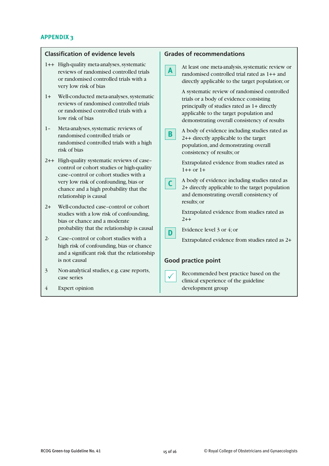# **APPENDIX 3**

| <b>Classification of evidence levels</b>                                                                                                                                 | <b>Grades of recommendations</b>                                                                   |  |
|--------------------------------------------------------------------------------------------------------------------------------------------------------------------------|----------------------------------------------------------------------------------------------------|--|
| 1++ High-quality meta-analyses, systematic                                                                                                                               | At least one meta-analysis, systematic review or                                                   |  |
| reviews of randomised controlled trials                                                                                                                                  | $\mathbf{A}$                                                                                       |  |
| or randomised controlled trials with a                                                                                                                                   | randomised controlled trial rated as 1++ and                                                       |  |
| very low risk of bias                                                                                                                                                    | directly applicable to the target population; or                                                   |  |
| Well-conducted meta-analyses, systematic                                                                                                                                 | A systematic review of randomised controlled                                                       |  |
| $1+$                                                                                                                                                                     | trials or a body of evidence consisting                                                            |  |
| reviews of randomised controlled trials                                                                                                                                  | principally of studies rated as 1+ directly                                                        |  |
| or randomised controlled trials with a                                                                                                                                   | applicable to the target population and                                                            |  |
| low risk of bias                                                                                                                                                         | demonstrating overall consistency of results                                                       |  |
| Meta-analyses, systematic reviews of                                                                                                                                     | A body of evidence including studies rated as                                                      |  |
| $1 -$                                                                                                                                                                    | B.                                                                                                 |  |
| randomised controlled trials or                                                                                                                                          | 2++ directly applicable to the target                                                              |  |
| randomised controlled trials with a high                                                                                                                                 | population, and demonstrating overall                                                              |  |
| risk of bias                                                                                                                                                             | consistency of results; or                                                                         |  |
| 2++ High-quality systematic reviews of case-                                                                                                                             | Extrapolated evidence from studies rated as                                                        |  |
| control or cohort studies or high-quality                                                                                                                                | $1++$ or $1+$                                                                                      |  |
| case-control or cohort studies with a                                                                                                                                    | A body of evidence including studies rated as                                                      |  |
| very low risk of confounding, bias or                                                                                                                                    | C                                                                                                  |  |
| chance and a high probability that the                                                                                                                                   | 2+ directly applicable to the target population                                                    |  |
| relationship is causal                                                                                                                                                   | and demonstrating overall consistency of                                                           |  |
| Well-conducted case-control or cohort<br>$2+$<br>studies with a low risk of confounding,<br>bias or chance and a moderate<br>probability that the relationship is causal | results; or<br>Extrapolated evidence from studies rated as<br>$2 + +$<br>Evidence level 3 or 4; or |  |
| Case-control or cohort studies with a<br>$2 -$<br>high risk of confounding, bias or chance<br>and a significant risk that the relationship<br>is not causal              | D<br>Extrapolated evidence from studies rated as 2+<br><b>Good practice point</b>                  |  |
| $\overline{\mathbf{3}}$                                                                                                                                                  | Recommended best practice based on the                                                             |  |
| Non-analytical studies, e.g. case reports,                                                                                                                               | $\checkmark$                                                                                       |  |
| case series                                                                                                                                                              | clinical experience of the guideline                                                               |  |
| $\overline{4}$<br><b>Expert opinion</b>                                                                                                                                  | development group                                                                                  |  |